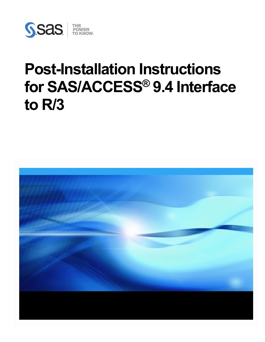

# **Post-Installation Instructions for SAS/ACCESS® 9.4 Interface to R/3**

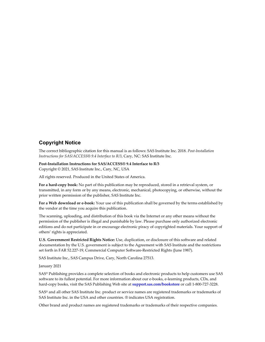# **Copyright Notice**

The correct bibliographic citation for this manual is as follows: SAS Institute Inc. 2018. *Post-Installation Instructions for SAS/ACCESS® 9.4 Interface to R/3*, Cary, NC: SAS Institute Inc.

**Post-Installation Instructions for SAS/ACCESS® 9.4 Interface to R/3** Copyright © 2021, SAS Institute Inc., Cary, NC, USA

All rights reserved. Produced in the United States of America.

**For a hard-copy book:** No part of this publication may be reproduced, stored in a retrieval system, or transmitted, in any form or by any means, electronic, mechanical, photocopying, or otherwise, without the prior written permission of the publisher, SAS Institute Inc.

**For a Web download or e-book:** Your use of this publication shall be governed by the terms established by the vendor at the time you acquire this publication.

The scanning, uploading, and distribution of this book via the Internet or any other means without the permission of the publisher is illegal and punishable by law. Please purchase only authorized electronic editions and do not participate in or encourage electronic piracy of copyrighted materials. Your support of others' rights is appreciated.

**U.S. Government Restricted Rights Notice:** Use, duplication, or disclosure of this software and related documentation by the U.S. government is subject to the Agreement with SAS Institute and the restrictions set forth in FAR 52.227-19, Commercial Computer Software-Restricted Rights (June 1987).

SAS Institute Inc., SAS Campus Drive, Cary, North Carolina 27513.

January 2021

SAS® Publishing provides a complete selection of books and electronic products to help customers use SAS software to its fullest potential. For more information about our e-books, e-learning products, CDs, and hard-copy books, visit the SAS Publishing Web site at **[support.sas.com/bookstore](http://support.sas.com/bookstore)** or call 1-800-727-3228.

SAS® and all other SAS Institute Inc. product or service names are registered trademarks or trademarks of SAS Institute Inc. in the USA and other countries. ® indicates USA registration.

Other brand and product names are registered trademarks or trademarks of their respective companies.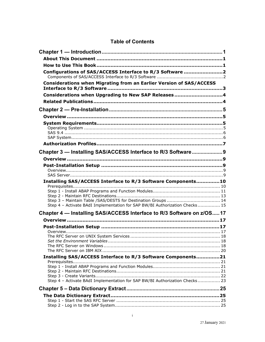# **Table of Contents**

| Configurations of SAS/ACCESS Interface to R/3 Software 2                    |  |
|-----------------------------------------------------------------------------|--|
| <b>Considerations when Migrating from an Earlier Version of SAS/ACCESS</b>  |  |
| Considerations when Upgrading to New SAP Releases4                          |  |
|                                                                             |  |
|                                                                             |  |
|                                                                             |  |
|                                                                             |  |
|                                                                             |  |
|                                                                             |  |
|                                                                             |  |
| Chapter 3 - Installing SAS/ACCESS Interface to R/3 Software 9               |  |
|                                                                             |  |
|                                                                             |  |
|                                                                             |  |
|                                                                             |  |
| Installing SAS/ACCESS Interface to R/3 Software Components10                |  |
|                                                                             |  |
|                                                                             |  |
| Step 4 - Activate BAdI Implementation for SAP BW/BI Authorization Checks 15 |  |
|                                                                             |  |
| Chapter 4 – Installing SAS/ACCESS Interface to R/3 Software on z/OS17       |  |
|                                                                             |  |
|                                                                             |  |
|                                                                             |  |
|                                                                             |  |
|                                                                             |  |
| Installing SAS/ACCESS Interface to R/3 Software Components21                |  |
|                                                                             |  |
|                                                                             |  |
|                                                                             |  |
| Step 4 - Activate BAdI Implementation for SAP BW/BI Authorization Checks 23 |  |
|                                                                             |  |
|                                                                             |  |
|                                                                             |  |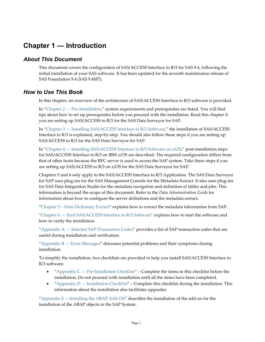# <span id="page-4-0"></span>**Chapter 1 — Introduction**

# <span id="page-4-1"></span>*About This Document*

This document covers the configuration of SAS/ACCESS Interface to R/3 for SAS 9.4, following the initial installation of your SAS software. It has been updated for the seventh maintenance release of SAS Foundation 9.4 (SAS 9.4M7).

# <span id="page-4-2"></span>*How to Use This Book*

In this chapter, an overview of the architecture of SAS/ACCESS Interface to R/3 software is provided.

In "Chapter 2 — [Pre-Installation,](#page-8-0)" system requirements and prerequisites are listed. You will find tips about how to set up prerequisites before you proceed with the installation. Read this chapter if you are setting up SAS/ACCESS to R/3 for the SAS Data Surveyor for SAP.

In "Chapter 3 — [Installing SAS/ACCESS Interface to R/3 Software,](#page-12-0)" the installation of SAS/ACCESS Interface to R/3 is explained, step-by-step. You should also follow these steps if you are setting up SAS/ACCESS to R/3 for the SAS Data Surveyor for SAP.

In "Chapter 4 — [Installing SAS/ACCESS Interface to R/3 Software on z/OS,](#page-20-0)" post-installation steps for SAS/ACCESS Interface to R/3 on IBM z/OS are described. The required configuration differs from that of other hosts because the RFC server is used to access the SAP system. Take these steps if you are setting up SAS/ACCESS to R/3 on z/OS for the SAS Data Surveyor for SAP.

Chapters 5 and 6 only apply to the SAS/ACCESS Interface to R/3 Application. The SAS Data Surveyor for SAP uses plug-ins for the SAS Management Console for the Metadata Extract. It also uses plug-ins for SAS Data Integration Studio for the metadata navigation and definition of tables and jobs. This information is beyond the scope of this document. Refer to the *Data Administration Guide* for information about how to configure the server definitions and the metadata extract.

"Chapter  $5 -$ [Data Dictionary Extract"](#page-28-0) explains how to extract the metadata information from SAP.

"Chapter  $6 -$  [Start SAS/ACCESS Interface to R/3 Software"](#page-32-0) explains how to start the software and how to verify the installation.

"Appendix  $A - S$ elected SAP Transaction Codes" provides a list of SAP transaction codes that are useful during installation and verification.

"Appendix  $B -$  [Error Messages"](#page-35-0) discusses potential problems and their symptoms during installation.

To simplify the installation, two checklists are provided to help you install SAS/ACCESS Interface to R/3 software:

- "Appendix  $C Pre$ -Installation Checklist" Complete the items in this checklist before the installation. Do not proceed with installation until all the items have been completed.
- "Appendix D [Installation Checklist"](#page-39-3) Complete this checklist during the installation. This information about the installation also facilitates upgrades.

"Appendix  $E$  —Installing the ABAP Add-On" describes the installation of the add-on for the installation of the ABAP objects in the SAP System.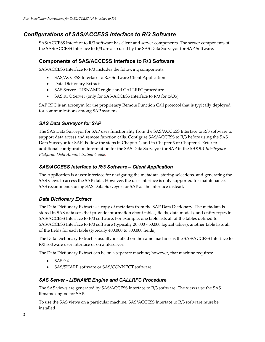# <span id="page-5-0"></span>*Configurations of SAS/ACCESS Interface to R/3 Software*

SAS/ACCESS Interface to R/3 software has client and server components. The server components of the SAS/ACCESS Interface to R/3 are also used by the SAS Data Surveyor for SAP Software.

# <span id="page-5-1"></span>**Components of SAS/ACCESS Interface to R/3 Software**

SAS/ACCESS Interface to R/3 includes the following components:

- SAS/ACCESS Interface to R/3 Software Client Application
- Data Dictionary Extract
- SAS Server LIBNAME engine and CALLRFC procedure
- SAS RFC Server (only for SAS/ACCESS Interface to R/3 for z/OS)

SAP RFC is an acronym for the proprietary Remote Function Call protocol that is typically deployed for communications among SAP systems.

# *SAS Data Surveyor for SAP*

The SAS Data Surveyor for SAP uses functionality from the SAS/ACCESS Interface to R/3 software to support data access and remote function calls. Configure SAS/ACCESS to R/3 before using the SAS Data Surveyor for SAP. Follow the steps in Chapter 2, and in Chapter 3 or Chapter 4. Refer to additional configuration information for the SAS Data Surveyor for SAP in the *SAS 9.4 Intelligence Platform: Data Administration Guide*.

### *SAS/ACCESS Interface to R/3 Software – Client Application*

The Application is a user interface for navigating the metadata, storing selections, and generating the SAS views to access the SAP data. However, the user interface is only supported for maintenance. SAS recommends using SAS Data Surveyor for SAP as the interface instead.

# *Data Dictionary Extract*

The Data Dictionary Extract is a copy of metadata from the SAP Data Dictionary. The metadata is stored in SAS data sets that provide information about tables, fields, data models, and entity types in SAS/ACCESS Interface to R/3 software. For example, one table lists all of the tables defined to SAS/ACCESS Interface to R/3 software (typically 20,000 - 50,000 logical tables); another table lists all of the fields for each table (typically 400,000 to 800,000 fields).

The Data Dictionary Extract is usually installed on the same machine as the SAS/ACCESS Interface to R/3 software user interface or on a fileserver.

The Data Dictionary Extract can be on a separate machine; however, that machine requires:

- SAS 9.4
- SAS/SHARE software or SAS/CONNECT software

#### *SAS Server - LIBNAME Engine and CALLRFC Procedure*

The SAS views are generated by SAS/ACCESS Interface to R/3 software. The views use the SAS libname engine for SAP.

To use the SAS views on a particular machine, SAS/ACCESS Interface to R/3 software must be installed.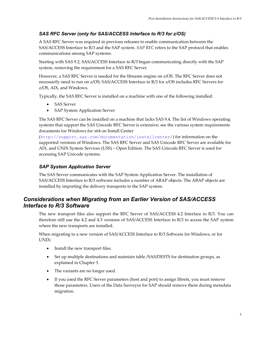## *SAS RFC Server (only for SAS/ACCESS Interface to R/3 for z/OS)*

A SAS RFC Server was required in previous releases to enable communication between the SAS/ACCESS Interface to R/3 and the SAP system. *SAP RFC* refers to the SAP protocol that enables communications among SAP systems.

Starting with SAS 9.2, SAS/ACCESS Interface to R/3 began communicating directly with the SAP system, removing the requirement for a SAS RFC Server.

However, a SAS RFC Server is needed for the libname engine on z/OS. The RFC Server does not necessarily need to run on z/OS; SAS/ACCESS Interface to R/3 for z/OS includes RFC Servers for z/OS, AIX, and Windows.

Typically, the SAS RFC Server is installed on a machine with one of the following installed:

- SAS Server
- SAP System Application Server

The SAS RFC Server can be installed on a machine that lacks SAS 9.4. The list of Windows operating systems that support the SAS Unicode RFC Server is extensive; see the various system requirements documents for Windows for x64 on Install Center

(<http://support.sas.com/documentation/installcenter/>) for information on the supported versions of Windows. The SAS RFC Server and SAS Unicode RFC Server are available for AIX, and UNIX System Services (USS) – Open Edition. The SAS Unicode RFC Server is used for accessing SAP Unicode systems.

### *SAP System Application Server*

The SAS Server communicates with the SAP System Application Server. The installation of SAS/ACCESS Interface to R/3 software includes a number of ABAP objects. The ABAP objects are installed by importing the delivery transports to the SAP system.

# <span id="page-6-0"></span>*Considerations when Migrating from an Earlier Version of SAS/ACCESS Interface to R/3 Software*

The new transport files also support the RFC Server of SAS/ACCESS 4.2 Interface to R/3. You can therefore still use the 4.2 and 4.3 versions of SAS/ACCESS Interface to R/3 to access the SAP system where the new transports are installed.

When migrating to a new version of SAS/ACCESS Interface to R/3 Software for Windows, or for UNIX:

- Install the new transport files.
- Set up multiple destinations and maintain table /SAS/DESTS for destination groups, as explained in Chapter 3.
- The variants are no longer used.
- If you used the RFC Server parameters (host and port) to assign librefs, you must remove those parameters. Users of the Data Surveyor for SAP should remove them during metadata migration.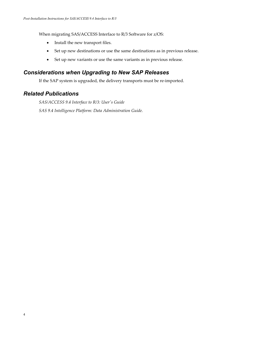When migrating SAS/ACCESS Interface to R/3 Software for z/OS:

- Install the new transport files.
- Set up new destinations or use the same destinations as in previous release.
- Set up new variants or use the same variants as in previous release.

# <span id="page-7-0"></span>*Considerations when Upgrading to New SAP Releases*

If the SAP system is upgraded, the delivery transports must be re-imported.

# <span id="page-7-1"></span>*Related Publications*

*SAS/ACCESS 9.4 Interface to R/3: User's Guide SAS 9.4 Intelligence Platform: Data Administration Guide.*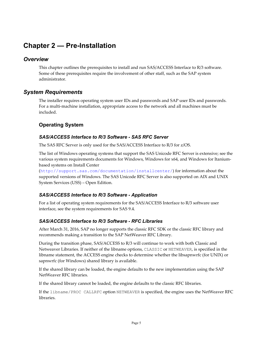# <span id="page-8-0"></span>**Chapter 2 — Pre-Installation**

# <span id="page-8-1"></span>*Overview*

This chapter outlines the prerequisites to install and run SAS/ACCESS Interface to R/3 software. Some of these prerequisites require the involvement of other staff, such as the SAP system administrator.

# <span id="page-8-2"></span>*System Requirements*

The installer requires operating system user IDs and passwords and SAP user IDs and passwords. For a multi-machine installation, appropriate access to the network and all machines must be included.

# <span id="page-8-3"></span>**Operating System**

# *SAS/ACCESS Interface to R/3 Software - SAS RFC Server*

The SAS RFC Server is only used for the SAS/ACCESS Interface to R/3 for z/OS.

The list of Windows operating systems that support the SAS Unicode RFC Server is extensive; see the various system requirements documents for Windows, Windows for x64, and Windows for Itaniumbased systems on Install Center

(<http://support.sas.com/documentation/installcenter/>) for information about the supported versions of Windows. The SAS Unicode RFC Server is also supported on AIX and UNIX System Services (USS) – Open Edition.

# *SAS/ACCESS Interface to R/3 Software - Application*

For a list of operating system requirements for the SAS/ACCESS Interface to R/3 software user interface, see the system requirements for SAS 9.4.

# *SAS/ACCESS Interface to R/3 Software - RFC Libraries*

After March 31, 2016, SAP no longer supports the classic RFC SDK or the classic RFC library and recommends making a transition to the SAP NetWeaver RFC Library.

During the transition phase, SAS/ACCESS to R/3 will continue to work with both Classic and Netweaver Libraries. If neither of the libname options, CLASSIC or NETWEAVER, is specified in the libname statement, the ACCESS engine checks to determine whether the libsapnwrfc (for UNIX) or sapnwrfc (for Windows) shared library is available.

If the shared library can be loaded, the engine defaults to the new implementation using the SAP NetWeaver RFC libraries.

If the shared library cannot be loaded, the engine defaults to the classic RFC libraries.

If the libname/PROC CALLRFC option NETWEAVER is specified, the engine uses the NetWeaver RFC libraries.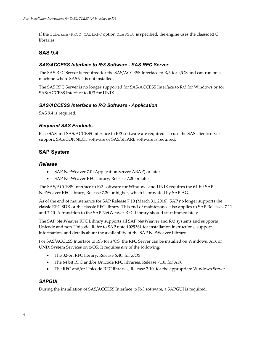If the libname/PROC CALLRFC option CLASSIC is specified, the engine uses the classic RFC libraries.

## <span id="page-9-0"></span>**SAS 9.4**

#### *SAS/ACCESS Interface to R/3 Software - SAS RFC Server*

The SAS RFC Server is required for the SAS/ACCESS Interface to R/3 for z/OS and can run on a machine where SAS 9.4 is not installed.

The SAS RFC Server is no longer supported for SAS/ACCESS Interface to R/3 for Windows or for SAS/ACCESS Interface to R/3 for UNIX.

#### *SAS/ACCESS Interface to R/3 Software - Application*

SAS 9.4 is required.

#### *Required SAS Products*

Base SAS and SAS/ACCESS Interface to R/3 software are required. To use the SAS client/server support, SAS/CONNECT software or SAS/SHARE software is required.

### <span id="page-9-1"></span>**SAP System**

#### *Release*

- SAP NetWeaver 7.0 (Application Server ABAP) or later
- SAP NetWeaver RFC library, Release 7.20 or later

The SAS/ACCESS Interface to R/3 software for Windows and UNIX requires the 64-bit SAP NetWeaver RFC library, Release 7.20 or higher, which is provided by SAP AG.

As of the end of maintenance for SAP Release 7.10 (March 31, 2016), SAP no longer supports the classic RFC SDK or the classic RFC library. This end of maintenance also applies to SAP Releases 7.11 and 7.20. A transition to the SAP NetWeaver RFC Library should start immediately.

The SAP NetWeaver RFC Library supports all SAP NetWeaver and R/3 systems and supports Unicode and non-Unicode. Refer to SAP note **1025361** for installation instructions, support information, and details about the availability of the SAP NetWeaver Library.

For SAS/ACCESS Interface to R/3 for z/OS, the RFC Server can be installed on Windows, AIX or UNIX System Services on z/OS. It requires *one* of the following:

- The 32-bit RFC library, Release 6.40, for z/OS
- The 64 bit RFC and/or Unicode RFC libraries, Release 7.10, for AIX
- The RFC and/or Unicode RFC libraries, Release 7.10, for the appropriate Windows Server

#### *SAPGUI*

During the installation of SAS/ACCESS Interface to R/3 software, a SAPGUI is required.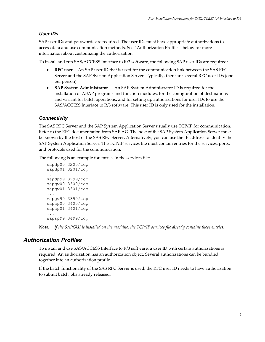#### *User IDs*

SAP user IDs and passwords are required. The user IDs must have appropriate authorizations to access data and use communication methods. See "Authorization Profiles" below for more information about customizing the authorization.

To install and run SAS/ACCESS Interface to R/3 software, the following SAP user IDs are required:

- **RFC user —**An SAP user ID that is used for the communication link between the SAS RFC Server and the SAP System Application Server. Typically, there are several RFC user IDs (one per person).
- **SAP System Administrator —** An SAP System Administrator ID is required for the installation of ABAP programs and function modules, for the configuration of destinations and variant for batch operations, and for setting up authorizations for user IDs to use the SAS/ACCESS Interface to R/3 software. This user ID is only used for the installation.

#### <span id="page-10-1"></span>*Connectivity*

The SAS RFC Server and the SAP System Application Server usually use TCP/IP for communication. Refer to the RFC documentation from SAP AG. The host of the SAP System Application Server must be known by the host of the SAS RFC Server. Alternatively, you can use the IP address to identify the SAP System Application Server. The TCP/IP services file must contain entries for the services, ports, and protocols used for the communication.

The following is an example for entries in the services file:

```
sapdp00 3200/tcp 
sapdp01 3201/tcp 
... 
sapdp99 3299/tcp 
sapgw00 3300/tcp 
sapgw01 3301/tcp
... 
sapgw99 3399/tcp 
sapsp00 3400/tcp 
sapsp01 3401/tcp 
... 
sapsp99 3499/tcp
```
*Note: If the SAPGUI is installed on the machine, the TCP/IP services file already contains these entries.*

#### <span id="page-10-0"></span>*Authorization Profiles*

To install and use SAS/ACCESS Interface to R/3 software, a user ID with certain authorizations is required. An authorization has an authorization object. Several authorizations can be bundled together into an authorization profile.

If the batch functionality of the SAS RFC Server is used, the RFC user ID needs to have authorization to submit batch jobs already released.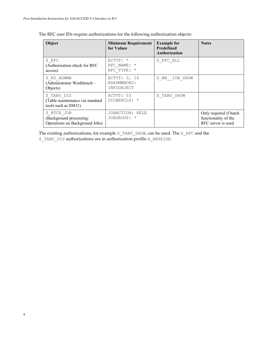| Object                                                                  | <b>Minimum Requirement</b><br>for Values  | <b>Example for</b><br>Predefined<br><b>Authorization</b> | <b>Notes</b>                                                         |
|-------------------------------------------------------------------------|-------------------------------------------|----------------------------------------------------------|----------------------------------------------------------------------|
| S RFC<br>(Authorization check for RFC<br>access)                        | ACTVT: *<br>RFC NAME: *<br>RFC TYPE: *    | S RFC ALL                                                |                                                                      |
| S RS ADMWB<br>(Administrator Workbench –<br>Objects)                    | ACTVT: 3, 16<br>RSADMWBOBJ:<br>INFOOBJECT | S WB IOB SHOW                                            |                                                                      |
| S TABU DIS<br>(Table maintenance via standard<br>tools such as SM31)    | ACTVT: 03<br>DICBERCLS: *                 | S TABU SHOW                                              |                                                                      |
| S BTCH JOB<br>(Background processing:<br>Operations on Background Jobs) | JOBACTION: RELE<br>JOBGROUP: *            |                                                          | Only required if batch<br>functionality of the<br>RFC server is used |

The RFC user IDs require authorizations for the following authorization objects:

The existing authorizations, for example S\_TABU\_SHOW, can be used. The S\_RFC and the S\_TABU\_DIS authorizations are in authorization profile A\_ANZEIGE.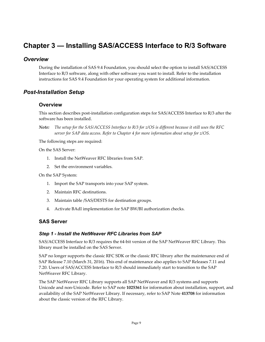# <span id="page-12-0"></span>**Chapter 3 — Installing SAS/ACCESS Interface to R/3 Software**

# <span id="page-12-1"></span>*Overview*

During the installation of SAS 9.4 Foundation, you should select the option to install SAS/ACCESS Interface to R/3 software, along with other software you want to install. Refer to the installation instructions for SAS 9.4 Foundation for your operating system for additional information.

# <span id="page-12-2"></span>*Post-Installation Setup*

### <span id="page-12-3"></span>**Overview**

This section describes post-installation configuration steps for SAS/ACCESS Interface to R/3 after the software has been installed.

*Note: The setup for the SAS/ACCESS Interface to R/3 for z/OS is different because it still uses the RFC server for SAP data access. Refer to Chapter 4 for more information about setup for z/OS.*

The following steps are required:

On the SAS Server:

- 1. Install the NetWeaver RFC libraries from SAP.
- 2. Set the environment variables.

On the SAP System:

- 1. Import the SAP transports into your SAP system.
- 2. Maintain RFC destinations.
- 3. Maintain table /SAS/DESTS for destination groups.
- 4. Activate BAdI implementation for SAP BW/BI authorization checks.

# <span id="page-12-4"></span>**SAS Server**

#### *Step 1 - Install the NetWeaver RFC Libraries from SAP*

SAS/ACCESS Interface to R/3 requires the 64-bit version of the SAP NetWeaver RFC Library. This library must be installed on the SAS Server.

SAP no longer supports the classic RFC SDK or the classic RFC library after the maintenance end of SAP Release 7.10 (March 31, 2016). This end of maintenance also applies to SAP Releases 7.11 and 7.20. Users of SAS/ACCESS Interface to R/3 should immediately start to transition to the SAP NetWeaver RFC Library.

The SAP NetWeaver RFC Library supports all SAP NetWeaver and R/3 systems and supports Unicode and non-Unicode. Refer to SAP note **1025361** for information about installation, support, and availability of the SAP NetWeaver Library. If necessary, refer to SAP Note **413708** for information about the classic version of the RFC Library.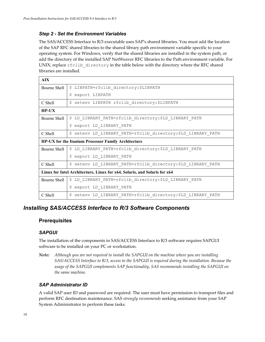### *Step 2 - Set the Environment Variables*

The SAS/ACCESS Interface to R/3 executable uses SAP's shared libraries. You must add the location of the SAP RFC shared libraries to the shared library path environment variable specific to your operating system. For Windows, verify that the shared libraries are installed in the system path, or add the directory of the installed SAP NetWeaver RFC libraries to the Path environment variable. For UNIX, replace rfclib directory in the table below with the directory where the RFC shared libraries are installed.

| <b>AIX</b>                                                                |                                                               |  |  |
|---------------------------------------------------------------------------|---------------------------------------------------------------|--|--|
| Bourne Shell                                                              | \$ LIBPATH=rfclib directory: \$LIBPATH                        |  |  |
|                                                                           | export LIBPATH<br>\$.                                         |  |  |
| C Shell                                                                   | \$ setenv LIBPATH rfclib directory: \$LIBPATH                 |  |  |
| $HP-UX$                                                                   |                                                               |  |  |
| Bourne Shell                                                              | \$ LD LIBRARY PATH=rfclib directory: \$LD LIBRARY PATH        |  |  |
|                                                                           | \$ export LD LIBRARY PATH                                     |  |  |
| C Shell                                                                   | \$ setenv LD LIBRARY PATH=rfclib directory: \$LD LIBRARY PATH |  |  |
|                                                                           | HP-UX for the Itanium Processor Family Architecture           |  |  |
| Bourne Shell                                                              | \$ LD LIBRARY PATH=rfclib directory: \$LD LIBRARY PATH        |  |  |
|                                                                           | \$ export LD LIBRARY PATH                                     |  |  |
| C Shell                                                                   | \$ setenv LD_LIBRARY_PATH=rfclib_directory:\$LD LIBRARY PATH  |  |  |
| Linux for Intel Architecture, Linux for x64, Solaris, and Solaris for x64 |                                                               |  |  |
| Bourne Shell                                                              | \$ LD LIBRARY PATH=rfclib directory: \$LD LIBRARY PATH        |  |  |
|                                                                           | export LD LIBRARY PATH                                        |  |  |
| C Shell                                                                   | \$ setenv LD LIBRARY PATH=rfclib directory: \$LD LIBRARY PATH |  |  |

# <span id="page-13-0"></span>*Installing SAS/ACCESS Interface to R/3 Software Components*

# <span id="page-13-1"></span>**Prerequisites**

#### *SAPGUI*

The installation of the components in SAS/ACCESS Interface to R/3 software requires SAPGUI software to be installed on your PC or workstation.

*Note: Although you are not required to install the SAPGUI on the machine where you are installing SAS/ACCESS Interface to R/3, access to the SAPGUI is required during the installation. Because the usage of the SAPGUI complements SAP functionality, SAS recommends installing the SAPGUI on the same machine.*

#### *SAP Administrator ID*

A valid SAP user ID and password are required. The user must have permission to transport files and perform RFC destination maintenance. SAS *strongly recommends* seeking assistance from your SAP System Administrator to perform these tasks.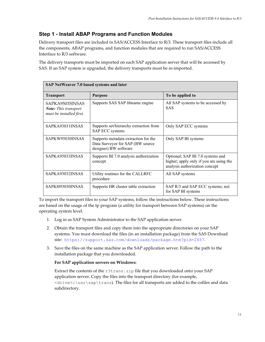# <span id="page-14-0"></span>**Step 1 - Install ABAP Programs and Function Modules**

Delivery transport files are included in SAS/ACCESS Interface to R/3. These transport files include all the components, ABAP programs, and function modules that are required to run SAS/ACCESS Interface to R/3 software.

The delivery transports must be imported on each SAP application server that will be accessed by SAS. If an SAP system is upgraded, the delivery transports must be re-imported.

| SAP NetWeaver 7.0 based systems and later                                  |                                                                                                   |                                                                                                               |  |
|----------------------------------------------------------------------------|---------------------------------------------------------------------------------------------------|---------------------------------------------------------------------------------------------------------------|--|
| <b>Transport</b>                                                           | <b>Purpose</b>                                                                                    | To be applied to                                                                                              |  |
| SAPKA95035INSAS<br><b>Note:</b> This transport<br>must be installed first. | Supports SAS SAP libname engine                                                                   | All SAP systems to be accessed by<br><b>SAS</b>                                                               |  |
| SAPKA93031INSAS                                                            | Supports set/hierarchy extraction from<br>SAP ECC systems                                         | Only SAP ECC systems                                                                                          |  |
| SAPKW95030INSAS                                                            | Supports metadata extraction for the<br>Data Surveyor for SAP (BW source<br>designer) BW software | Only SAP BI systems                                                                                           |  |
| SAPKA95033INSAS                                                            | Supports BI 7.0 analysis authorization<br>concept                                                 | Optional; SAP BI 7.0 systems and<br>higher; apply only if you are using the<br>analysis authorization concept |  |
| SAPKA93032INSAS                                                            | Utility routines for the CALLRFC<br>procedure                                                     | All SAP systems                                                                                               |  |
| SAPKH93030INSAS                                                            | Supports HR cluster table extraction                                                              | SAP R/3 and SAP ECC systems; not<br>for SAP BI systems                                                        |  |

To import the transport files to your SAP systems, follow the instructions below. These instructions are based on the usage of the tp program (a utility for transport between SAP systems) on the operating system level.

- 1. Log in as SAP System Administrator to the SAP application server.
- 2. Obtain the transport files and copy them into the appropriate directories on your SAP systems. You must download the files (in an installation package) from the SAS Download site: <https://support.sas.com/downloads/package.htm?pid=2457>.
- 3. Save the files on the same machine as the SAP application server. Follow the path to the installation package that you downloaded.

#### **For SAP application servers on Windows:**

Extract the contents of the r3trans.zip file that you downloaded onto your SAP application server. Copy the files into the transport directory (for example, <drive>:\usr\sap\trans). The files for all transports are added to the cofiles and data subdirectory.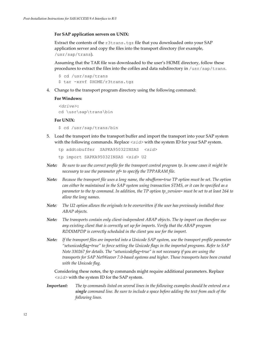#### **For SAP application servers on UNIX:**

Extract the contents of the r3trans.tgz file that you downloaded onto your SAP application server and copy the files into the transport directory (for example, /usr/sap/trans).

Assuming that the TAR file was downloaded to the user's HOME directory, follow these procedures to extract the files into the cofiles and data subdirectory in /usr/sap/trans.

```
$ cd /usr/sap/trans
$ tar -xzvf $HOME/r3trans.tgz
```
4. Change to the transport program directory using the following command:

#### **For Windows:**

```
<drive>:
cd \usr\sap\trans\bin
```
#### **For UNIX:**

```
$ cd /usr/sap/trans/bin
```
5. Load the transport into the transport buffer and import the transport into your SAP system with the following commands. Replace *<sid>* with the system ID for your SAP system.

```
tp addtobuffer SAPKA95032INSAS <sid>
```

```
tp import SAPKA95032INSAS <sid> U2
```
- *Note: Be sure to use the correct profile for the transport control program tp. In some cases it might be necessary to use the parameter pf= to specify the TPPARAM file.*
- *Note: Because the transport file uses a long name, the nbufform=true TP option must be set. The option can either be maintained in the SAP system using transaction STMS, or it can be specified as a parameter to the tp command. In addition, the TP option tp\_version= must be set to at least 264 to allow the long names.*
- *Note: The U2 option allows the originals to be overwritten if the user has previously installed these ABAP objects.*
- *Note: The transports contain only client-independent ABAP objects. The tp import can therefore use any existing client that is correctly set up for imports. Verify that the ABAP program RDDIMPDP is correctly scheduled in the client you use for the import.*
- *Note: If the transport files are imported into a Unicode SAP system, use the transport profile parameter "setunicodeflag=true" to force setting the Unicode flags in the imported programs. Refer to SAP Note 330267 for details. The "setunicodeflag=true" is not necessary if you are using the transports for SAP NetWeaver 7.0-based systems and higher. Those transports have been created with the Unicode flag.*

Considering these notes, the tp commands might require additional parameters. Replace *<sid>* with the system ID for the SAP system.

*Important: The tp commands listed on several lines in the following examples should be entered on a single command line. Be sure to include a space before adding the text from each of the following lines.*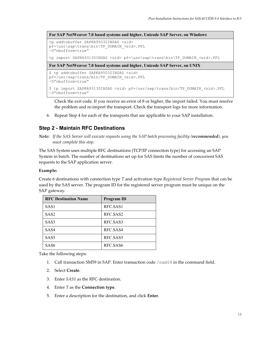**For SAP NetWeaver 7.0 based systems and higher, Unicode SAP Server, on Windows**

```
tp addtobuffer SAPKA95032INSAS <sid> 
pf=\usr\sap\trans\bin\TP_DOMAIN_<sid>.PFL
–D"nbufform=true"
tp import SAPKA93130INSAS <sid> pf=\usr\sap\trans\bin\TP_DOMAIN_<sid>.PFL
```
**For SAP NetWeaver 7.0 based systems and higher, Unicode SAP Server, on UNIX**

```
$ tp addtobuffer SAPKA95032INSAS <sid> 
pf=/usr/sap/trans/bin/TP_DOMAIN_<sid>.PFL
–D"nbufform=true"
$ tp import SAPKA93130INSAS <sid> pf=/usr/sap/trans/bin/TP_DOMAIN_<sid>.PFL
–D"nbufform=true"
```
Check the exit code. If you receive an error of 8 or higher, the import failed. You must resolve the problem and re-import the transport. Check the transport logs for more information.

6. Repeat Step 4 for each of the transports that are applicable to your SAP installation.

#### <span id="page-16-0"></span>**Step 2 - Maintain RFC Destinations**

```
Note: If the SAS Server will execute requests using the SAP batch processing facility (recommended), you 
       must complete this step.
```
The SAS System uses multiple RFC destinations (TCP/IP connection type) for accessing an SAP System in batch. The number of destinations set up for SAS limits the number of concurrent SAS requests to the SAP application server.

#### **Example:**

Create 6 destinations with connection type *T* and activation type *Registered Server Program* that can be used by the SAS server. The program ID for the registered server program must be unique on the SAP gateway.

| <b>RFC Destination Name</b> | <b>Program ID</b> |
|-----------------------------|-------------------|
| SAS <sub>1</sub>            | RFC.SAS1          |
| SAS <sub>2</sub>            | RFC.SAS2          |
| SAS3                        | RFC.SAS3          |
| SAS4                        | RFC.SAS4          |
| SAS <sub>5</sub>            | RFC.SAS5          |
| SAS6                        | RFC.SAS6          |

Take the following steps:

- 1. Call transaction SM59 in SAP. Enter transaction code /nsm59 in the command field.
- 2. Select **Create**.
- 3. Enter *SAS1* as the RFC destination.
- 4. Enter *T* as the **Connection type**.
- 5. Enter a description for the destination, and click **Enter**.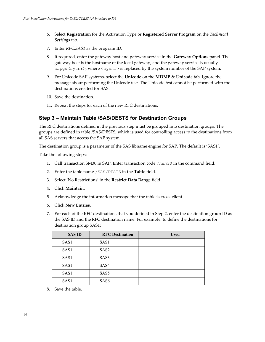- 6. Select **Registration** for the Activation Type or **Registered Server Program** on the *Technical Settings* tab.
- 7. Enter *RFC.SAS1* as the program ID.
- 8. If required, enter the gateway host and gateway service in the **Gateway Options** panel. The gateway host is the hostname of the local gateway, and the gateway service is usually sapgw<sysnr>, where <sysnr> is replaced by the system number of the SAP system.
- 9. For Unicode SAP systems, select the **Unicode** on the **MDMP & Unicode** tab. Ignore the message about performing the Unicode test. The Unicode test cannot be performed with the destinations created for SAS.
- 10. Save the destination.
- 11. Repeat the steps for each of the new RFC destinations.

### <span id="page-17-0"></span>**Step 3 – Maintain Table /SAS/DESTS for Destination Groups**

The RFC destinations defined in the previous step must be grouped into destination groups. The groups are defined in table /SAS/DESTS, which is used for controlling access to the destinations from all SAS servers that access the SAP system.

The destination group is a parameter of the SAS libname engine for SAP. The default is 'SAS1'.

Take the following steps:

- 1. Call transaction SM30 in SAP. Enter transaction code /nsm30 in the command field.
- 2. Enter the table name /SAS/DESTS in the **Table** field.
- 3. Select 'No Restrictions' in the **Restrict Data Range** field.
- 4. Click **Maintain**.
- 5. Acknowledge the information message that the table is cross-client.
- 6. Click **New Entries**.
- 7. For each of the RFC destinations that you defined in Step 2, enter the destination group ID as the SAS ID and the RFC destination name. For example, to define the destinations for destination group SAS1:

| <b>SAS ID</b> | <b>RFC</b> Destination | <b>Used</b> |
|---------------|------------------------|-------------|
| SAS1          | SAS <sub>1</sub>       |             |
| SAS1          | SAS <sub>2</sub>       |             |
| SAS1          | SAS3                   |             |
| SAS1          | SAS4                   |             |
| SAS1          | SAS5                   |             |
| SAS1          | SAS6                   |             |

8. Save the table.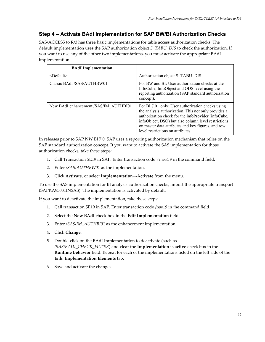# <span id="page-18-0"></span>**Step 4 – Activate BAdI Implementation for SAP BW/BI Authorization Checks**

SAS/ACCESS to R/3 has three basic implementations for table access authorization checks. The default implementation uses the SAP authorization object *S\_TABU\_DIS* to check the authorization. If you want to use any of the other two implementations, you must activate the appropriate BAdI implementation.

| <b>BAdI</b> Implementation            |                                                                                                                                                                                                                                                                                                                    |
|---------------------------------------|--------------------------------------------------------------------------------------------------------------------------------------------------------------------------------------------------------------------------------------------------------------------------------------------------------------------|
| $\le$ Default $\ge$                   | Authorization object S_TABU_DIS                                                                                                                                                                                                                                                                                    |
| Classic BAdI /SAS/AUTHBW01            | For BW and BI: User authorization checks at the<br>InfoCube, InfoObject and ODS level using the<br>reporting authorization (SAP standard authorization<br>concept).                                                                                                                                                |
| New BAdI enhancement /SAS/IM AUTHBI01 | For BI 7.0+ only: User authorization checks using<br>the analysis authorization. This not only provides a<br>authorization check for the infoProvider (infoCube,<br>infoObject, DSO) but also column level restrictions<br>on master data attributes and key figures, and row<br>level restrictions on attributes. |

In releases prior to SAP NW BI 7.0, SAP uses a reporting authorization mechanism that relies on the SAP standard authorization concept. If you want to activate the SAS implementation for those authorization checks, take these steps:

- 1. Call Transaction SE19 in SAP. Enter transaction code /nse19 in the command field.
- 2. Enter */SAS/AUTHBW01* as the implementation.
- 3. Click **Activate**, or select **Implementation→Activate** from the menu.

To use the SAS implementation for BI analysis authorization checks, import the appropriate transport (SAPKA95031INSAS). The implementation is activated by default.

If you want to deactivate the implementation, take these steps:

- 1. Call transaction SE19 in SAP. Enter transaction code /nse19 in the command field.
- 2. Select the **New BAdI** check box in the **Edit Implementation** field.
- 3. Enter */SAS/IM\_AUTHBI01* as the enhancement implementation.
- 4. Click **Change**.
- 5. Double-click on the BAdI Implementation to deactivate (such as */SAS/BADI\_CHECK\_FILTER*) and clear the **Implementation is active** check box in the **Runtime Behavior** field. Repeat for each of the implementations listed on the left side of the **Enh. Implementation Elements** tab.
- 6. Save and activate the changes.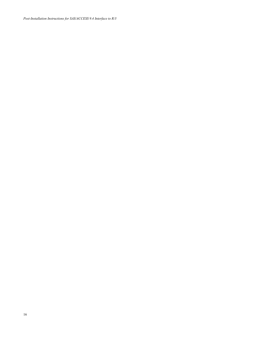*Post-Installation Instructions for SAS/ACCESS 9.4 Interface to R/3*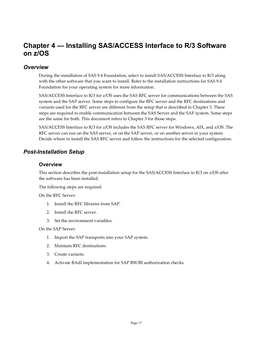# <span id="page-20-0"></span>**Chapter 4 — Installing SAS/ACCESS Interface to R/3 Software on z/OS**

# <span id="page-20-1"></span>*Overview*

During the installation of SAS 9.4 Foundation, select to install SAS/ACCESS Interface to R/3 along with the other software that you want to install. Refer to the installation instructions for SAS 9.4 Foundation for your operating system for more information.

SAS/ACCESS Interface to R/3 for z/OS uses the SAS RFC server for communications between the SAS system and the SAP server. Some steps to configure the RFC server and the RFC destinations and variants used for the RFC server are different from the setup that is described in Chapter 3. These steps are required to enable communication between the SAS Server and the SAP system. Some steps are the same for both. This document refers to Chapter 3 for those steps.

SAS/ACCESS Interface to R/3 for z/OS includes the SAS RFC server for Windows, AIX, and z/OS. The RFC server can run on the SAS server, or on the SAP server, or on another server in your system. Decide where to install the SAS RFC server and follow the instructions for the selected configuration.

# <span id="page-20-2"></span>*Post-Installation Setup*

### <span id="page-20-3"></span>**Overview**

This section describes the post-installation setup for the SAS/ACCESS Interface to R/3 on z/OS after the software has been installed.

The following steps are required:

On the RFC Server:

- 1. Install the RFC libraries from SAP.
- 2. Install the RFC server.
- 3. Set the environment variables.

On the SAP Server:

- 1. Import the SAP transports into your SAP system.
- 2. Maintain RFC destinations.
- 3. Create variants.
- 4. Activate BAdI implementation for SAP BW/BI authorization checks.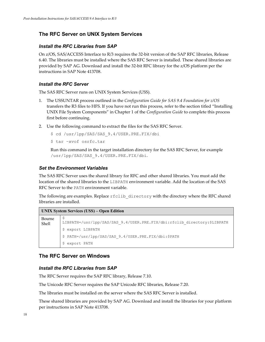### <span id="page-21-0"></span>**The RFC Server on UNIX System Services**

#### *Install the RFC Libraries from SAP*

On z/OS, SAS/ACCESS Interface to R/3 requires the 32-bit version of the SAP RFC libraries, Release 6.40. The libraries must be installed where the SAS RFC Server is installed. These shared libraries are provided by SAP AG. Download and install the 32-bit RFC library for the z/OS platform per the instructions in SAP Note 413708.

#### *Install the RFC Server*

The SAS RFC Server runs on UNIX System Services (USS).

- 1. The USSUNTAR process outlined in the *Configuration Guide for SAS 9.4 Foundation for z/OS* transfers the R3 files to HFS. If you have not run this process, refer to the section titled "Installing UNIX File System Components" in Chapter 1 of the *Configuration Guide* to complete this process first before continuing.
- 2. Use the following command to extract the files for the SAS RFC Server.
	- \$ cd /usr/lpp/SAS/SAS\_9.4/USER.PRE.FIX/dbi
	- \$ tar –xvof osrfc.tar

Run this command in the target installation directory for the SAS RFC Server, for example /usr/lpp/SAS/SAS\_9.4/USER.PRE.FIX/dbi.

#### <span id="page-21-1"></span>*Set the Environment Variables*

The SAS RFC Server uses the shared library for RFC and other shared libraries. You must add the location of the shared libraries to the LIBPATH environment variable. Add the location of the SAS RFC Server to the PATH environment variable.

The following are examples. Replace rfclib directory with the directory where the RFC shared libraries are installed.

| UNIX System Services (USS) – Open Edition |                                                                               |  |  |
|-------------------------------------------|-------------------------------------------------------------------------------|--|--|
| Bourne<br>Shell                           | S<br>LIBPATH=/usr/lpp/SAS/SAS 9.4/USER.PRE.FIX/dbi:rfclib directory:\$LIBPATH |  |  |
|                                           | \$ export LIBPATH                                                             |  |  |
|                                           | \$ PATH=/usr/lpp/SAS/SAS 9.4/USER.PRE.FIX/dbi:\$PATH                          |  |  |
|                                           | \$ export PATH                                                                |  |  |

### <span id="page-21-2"></span>**The RFC Server on Windows**

#### *Install the RFC Libraries from SAP*

The RFC Server requires the SAP RFC library, Release 7.10.

The Unicode RFC Server requires the SAP Unicode RFC libraries, Release 7.20.

The libraries must be installed on the server where the SAS RFC Server is installed.

These shared libraries are provided by SAP AG. Download and install the libraries for your platform per instructions in SAP Note 413708.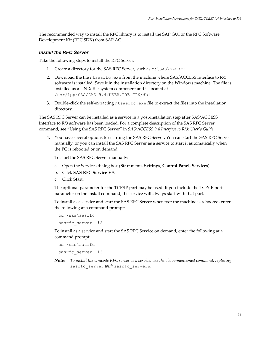The recommended way to install the RFC library is to install the SAP GUI or the RFC Software Development Kit (RFC SDK) from SAP AG.

#### *Install the RFC Server*

Take the following steps to install the RFC Server.

- 1. Create a directory for the SAS RFC Server, such as c: \SAS\SASRFC.
- 2. Download the file ntsasrfc.exe from the machine where SAS/ACCESS Interface to R/3 software is installed. Save it in the installation directory on the Windows machine. The file is installed as a UNIX file system component and is located at /usr/lpp/SAS/SAS\_9.4/USER.PRE.FIX/dbi.
- 3. Double-click the self-extracting ntsasrfc.exe file to extract the files into the installation directory.

The SAS RFC Server can be installed as a service in a post-installation step after SAS/ACCESS Interface to R/3 software has been loaded. For a complete description of the SAS RFC Server command, see "Using the SAS RFC Server" in *SAS/ACCESS 9.4 Interface to R/3: User's Guide*.

4. You have several options for starting the SAS RFC Server. You can start the SAS RFC Server manually, or you can install the SAS RFC Server as a service to start it automatically when the PC is rebooted or on demand.

To start the SAS RFC Server manually:

- a. Open the Services dialog box (**Start** menu, **Settings**, **Control Panel**, **Services**).
- b. Click **SAS RFC Service V9**.
- c. Click **Start**.

The optional parameter for the TCP/IP port may be used. If you include the TCP/IP port parameter on the install command, the service will always start with that port.

To install as a service and start the SAS RFC Server whenever the machine is rebooted, enter the following at a command prompt:

```
cd \sas\sasrfc
sasrfc server -i2
```
To install as a service and start the SAS RFC Service on demand, enter the following at a command prompt:

```
cd \sas\sasrfc
sasrfc server -i3
```
*Note: To install the Unicode RFC server as a service, use the above-mentioned command, replacing*  sasrfc\_server *with* sasrfc\_serveru*.*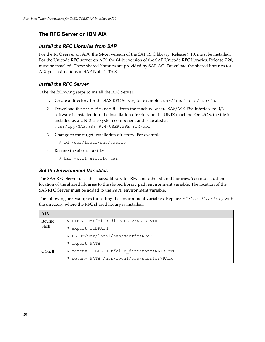# <span id="page-23-0"></span>**The RFC Server on IBM AIX**

#### *Install the RFC Libraries from SAP*

For the RFC server on AIX, the 64-bit version of the SAP RFC library, Release 7.10, must be installed. For the Unicode RFC server on AIX, the 64-bit version of the SAP Unicode RFC libraries, Release 7.20, must be installed. These shared libraries are provided by SAP AG. Download the shared libraries for AIX per instructions in SAP Note 413708.

#### *Install the RFC Server*

Take the following steps to install the RFC Server.

- 1. Create a directory for the SAS RFC Server, for example /usr/local/sas/sasrfc.
- 2. Download the aixrrfc.tar file from the machine where SAS/ACCESS Interface to R/3 software is installed into the installation directory on the UNIX machine. On z/OS, the file is installed as a UNIX file system component and is located at /usr/lpp/SAS/SAS\_9.4/USER.PRE.FIX/dbi.
- 3. Change to the target installation directory. For example:
	- \$ cd /usr/local/sas/sasrfc
- 4. Restore the aixrrfc.tar file:
	- \$ tar -xvof aixrrfc.tar

#### *Set the Environment Variables*

The SAS RFC Server uses the shared library for RFC and other shared libraries. You must add the location of the shared libraries to the shared library path environment variable. The location of the SAS RFC Server must be added to the PATH environment variable.

The following are examples for setting the environment variables. Replace *rfclib\_directory* with the directory where the RFC shared library is installed.

| <b>AIX</b> |                                               |
|------------|-----------------------------------------------|
| Bourne     | \$ LIBPATH=rfclib directory: \$LIBPATH        |
| Shell      | \$ export LIBPATH                             |
|            | \$ PATH=/usr/local/sas/sasrfc:\$PATH          |
|            | \$ export PATH                                |
| C Shell    | \$ setenv LIBPATH rfclib directory: \$LIBPATH |
|            | \$ setenv PATH /usr/local/sas/sasrfc:\$PATH   |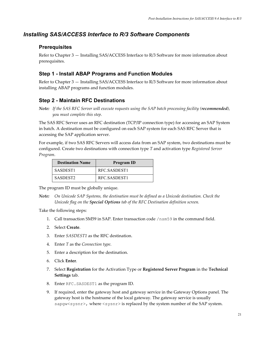# <span id="page-24-0"></span>*Installing SAS/ACCESS Interface to R/3 Software Components*

# <span id="page-24-1"></span>**Prerequisites**

Refer to Chapter 3 — [Installing SAS/ACCESS Interface to R/3 Software](#page-12-0) for more information about prerequisites.

# <span id="page-24-2"></span>**Step 1 - Install ABAP Programs and Function Modules**

Refer to Chapter 3 — Installing [SAS/ACCESS Interface to R/3 Software](#page-12-0) for more information about installing ABAP programs and function modules.

# <span id="page-24-3"></span>**Step 2 - Maintain RFC Destinations**

*Note: If the SAS RFC Server will execute requests using the SAP batch processing facility (recommended), you must complete this step.*

The SAS RFC Server uses an RFC destination (TCP/IP connection type) for accessing an SAP System in batch. A destination must be configured on each SAP system for each SAS RFC Server that is accessing the SAP application server.

For example, if two SAS RFC Servers will access data from an SAP system, two destinations must be configured. Create two destinations with connection type *T* and activation type *Registered Server Program*.

| <b>Destination Name</b> | <b>Program ID</b> |
|-------------------------|-------------------|
| SASDEST1                | REC.SASDEST1      |
| SASDEST <sub>2</sub>    | REC.SASDEST1      |

The program ID must be globally unique.

*Note: On Unicode SAP Systems, the destination must be defined as a Unicode destination. Check the Unicode flag on the Special Options tab of the RFC Destination definition screen.*

Take the following steps:

- 1. Call transaction SM59 in SAP. Enter transaction code /nsm59 in the command field.
- 2. Select **Create**.
- 3. Enter *SASDEST1* as the RFC destination.
- 4. Enter *T* as the *Connection type*.
- 5. Enter a description for the destination.
- 6. Click **Enter**.
- 7. Select **Registration** for the Activation Type or **Registered Server Program** in the **Technical Settings** tab.
- 8. Enter RFC.SASDEST1 as the program ID.
- 9. If required, enter the gateway host and gateway service in the Gateway Options panel. The gateway host is the hostname of the local gateway. The gateway service is usually sapgw<sysnr>, where <sysnr> is replaced by the system number of the SAP system.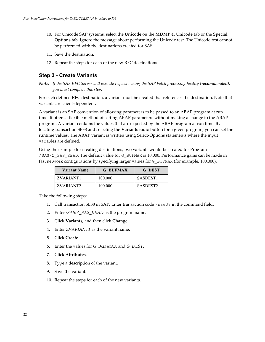- 10. For Unicode SAP systems, select the **Unicode** on the **MDMP & Unicode** tab or the **Special Options** tab. Ignore the message about performing the Unicode test. The Unicode test cannot be performed with the destinations created for SAS.
- 11. Save the destination.
- 12. Repeat the steps for each of the new RFC destinations.

# <span id="page-25-0"></span>**Step 3 - Create Variants**

*Note: If the SAS RFC Server will execute requests using the SAP batch processing facility (recommended), you must complete this step.*

For each defined RFC destination, a variant must be created that references the destination. Note that variants are client-dependent.

A variant is an SAP convention of allowing parameters to be passed to an ABAP program at run time. It offers a flexible method of setting ABAP parameters without making a change to the ABAP program. A variant contains the values that are expected by the ABAP program at run time. By locating transaction SE38 and selecting the **Variant**s radio button for a given program, you can set the runtime values. The ABAP variant is written using Select-Options statements where the input variables are defined.

Using the example for creating destinations, two variants would be created for Program /SAS/Z\_SAS\_READ. The default value for G\_BUFMAX is 10.000. Performance gains can be made in fast network configurations by specifying larger values for G\_BUFMAX (for example, 100.000).

| <b>Variant Name</b>   | <b>G BUFMAX</b> | G DEST               |
|-----------------------|-----------------|----------------------|
| ZVARJANT1             | 100.000         | SASDEST1             |
| ZVARIANT <sub>2</sub> | 100.000         | SASDEST <sub>2</sub> |

Take the following steps:

- 1. Call transaction SE38 in SAP. Enter transaction code /nse38 in the command field.
- 2. Enter */SAS/Z\_SAS\_READ* as the program name.
- 3. Click **Variants**, and then click **Change**.
- 4. Enter *ZVARIANT1* as the variant name.
- 5. Click **Create**.
- 6. Enter the values for *G\_BUFMAX* and *G\_DEST*.
- 7. Click **Attributes**.
- 8. Type a description of the variant.
- 9. Save the variant.
- 10. Repeat the steps for each of the new variants.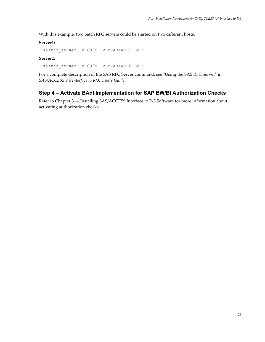With this example, two batch RFC servers could be started on two different hosts.

#### **Server1:**

sasrfc server -p 6999 -V ZVARIANT1 -d 1

#### **Server2:**

sasrfc server -p 6999 -V ZVARIANT2 -d 1

For a complete description of the SAS RFC Server command, see "Using the SAS RFC Server" in *SAS/ACCESS 9.4 Interface to R/3: User's Guide*.

# <span id="page-26-0"></span>**Step 4 – Activate BAdI Implementation for SAP BW/BI Authorization Checks**

Refer to Chapter 3 — [Installing SAS/ACCESS Interface to R/3 Software](#page-12-0) for more information about activating authorization checks.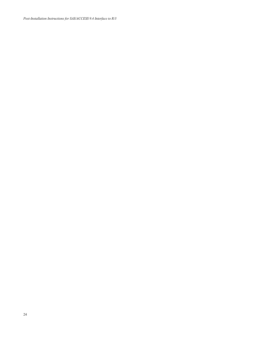*Post-Installation Instructions for SAS/ACCESS 9.4 Interface to R/3*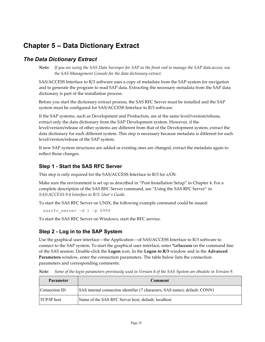# <span id="page-28-0"></span>**Chapter 5 – Data Dictionary Extract**

# <span id="page-28-1"></span>*The Data Dictionary Extract*

*Note: If you are using the SAS Data Surveyor for SAP as the front end to manage the SAP data access, use the SAS Management Console for the data dictionary extract.*

SAS/ACCESS Interface to R/3 software uses a copy of metadata from the SAP system for navigation and to generate the program to read SAP data. Extracting the necessary metadata from the SAP data dictionary is part of the installation process.

Before you start the dictionary extract process, the SAS RFC Server must be installed and the SAP system must be configured for SAS/ACCESS Interface to R/3 software.

If the SAP systems, such as Development and Production, are at the same level/version/release, extract only the data dictionary from the SAP Development system. However, if the level/version/release of other systems are different from that of the Development system, extract the data dictionary for each different system. This step is necessary because metadata is different for each level/version/release of the SAP system.

If new SAP system structures are added or existing ones are changed, extract the metadata again to reflect those changes.

# <span id="page-28-2"></span>**Step 1 - Start the SAS RFC Server**

This step is only required for the SAS/ACCESS Interface to R/3 for z/OS.

Make sure the environment is set up as described in ["Post-Installation Setup"](#page-20-2) in Chapter 4. For a complete description of the SAS RFC Server command, see "Using the SAS RFC Server" in *SAS/ACCESS 9.4 Interface to R/3: User's Guide*.

To start the SAS RFC Server on UNIX, the following example command could be issued:

```
sasrfc server -d 1 -p 6999
```
To start the SAS RFC Server on Windows, start the RFC service.

# <span id="page-28-3"></span>**Step 2 - Log in to the SAP System**

Use the graphical user interface—the Application—of SAS/ACCESS Interface to R/3 software to connect to the SAP system. To start the graphical user interface, enter **%r3access** on the command line of the SAS session. Double-click the **Logon** icon. In the **Logon to R/3** window and in the **Advanced Parameters** window, enter the connection parameters. The table below lists the connection parameters and corresponding comments.

*Note: Some of the login parameters previously used in Version 8 of the SAS System are obsolete in Version 9.*

| <b>Parameter</b> | Comment                                                                     |
|------------------|-----------------------------------------------------------------------------|
| Connection ID    | SAS internal connection identifier (7 characters, SAS name); default: CONN1 |
| TCP/IP host      | Name of the SAS RFC Server host; default: localhost                         |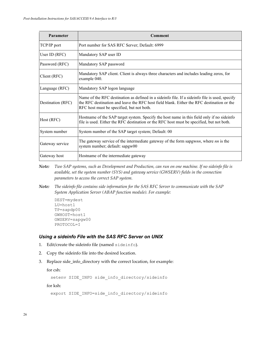| Parameter         | Comment                                                                                                                                                                                                                                  |
|-------------------|------------------------------------------------------------------------------------------------------------------------------------------------------------------------------------------------------------------------------------------|
| TCP/IP port       | Port number for SAS RFC Server; Default: 6999                                                                                                                                                                                            |
| User ID (RFC)     | Mandatory SAP user ID                                                                                                                                                                                                                    |
| Password (RFC)    | Mandatory SAP password                                                                                                                                                                                                                   |
| Client (RFC)      | Mandatory SAP client. Client is always three characters and includes leading zeros, for<br>example 040.                                                                                                                                  |
| Language (RFC)    | Mandatory SAP logon language                                                                                                                                                                                                             |
| Destination (RFC) | Name of the RFC destination as defined in a sideinfo file. If a sideinfo file is used, specify<br>the RFC destination and leave the RFC host field blank. Either the RFC destination or the<br>RFC host must be specified, but not both. |
| Host (RFC)        | Hostname of the SAP target system. Specify the host name in this field only if no sideinfo<br>file is used. Either the RFC destination or the RFC host must be specified, but not both.                                                  |
| System number     | System number of the SAP target system; Default: 00                                                                                                                                                                                      |
| Gateway service   | The gateway service of the intermediate gateway of the form sapgwnn, where nn is the<br>system number; default: sapgw00                                                                                                                  |
| Gateway host      | Hostname of the intermediate gateway                                                                                                                                                                                                     |

- *Note: Two SAP systems, such as Development and Production, can run on one machine. If no sideinfo file is available, set the system number (SYS) and gateway service (GWSERV) fields in the connection parameters to access the correct SAP system.*
- *Note: The sideinfo file contains side information for the SAS RFC Server to communicate with the SAP System Application Server (ABAP function module). For example:*

```
DEST=mydest
LU=host1
TP=sapdp00
GWHOST=host1
GWSERV=sapgw00
PROTOCOL=I
```
#### *Using a sideinfo File with the SAS RFC Server on UNIX*

- 1. Edit/create the sideinfo file (named sideinfo).
- 2. Copy the sideinfo file into the desired location.
- 3. Replace side\_info\_directory with the correct location, for example:

```
for csh:
 setenv SIDE INFO side info directory/sideinfo
```
for ksh:

```
export SIDE INFO=side info directory/sideinfo
```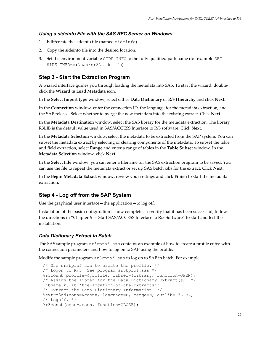#### *Using a sideinfo File with the SAS RFC Server on Windows*

- 1. Edit/create the sideinfo file (named sideinfo).
- 2. Copy the sideinfo file into the desired location.
- 3. Set the environment variable SIDE INFO to the fully qualified path name (for example SET SIDE\_INFO=c:\sas\sr3\sideinfo).

# <span id="page-30-0"></span>**Step 3 - Start the Extraction Program**

A wizard interface guides you through loading the metadata into SAS. To start the wizard, doubleclick the **Wizard to Load Metadata** icon.

In the **Select Import type** window, select either **Data Dictionary** or **R/3 Hierarchy** and click **Next**.

In the **Connection** window, enter the connection ID, the language for the metadata extraction, and the SAP release. Select whether to merge the new metadata into the existing extract. Click **Next**.

In the **Metadata Destination** window, select the SAS library for the metadata extraction. The library R3LIB is the default value used in SAS/ACCESS Interface to R/3 software. Click **Next**.

In the **Metadata Selection** window, select the metadata to be extracted from the SAP system. You can subset the metadata extract by selecting or clearing components of the metadata. To subset the table and field extraction, select **Range** and enter a range of tables in the **Table Subset** window. In the **Metadata Selection** window, click **Next**.

In the **Select File** window, you can enter a filename for the SAS extraction program to be saved. You can use the file to repeat the metadata extract or set up SAS batch jobs for the extract. Click **Next**.

In the **Begin Metadata Extract** window, review your settings and click **Finish** to start the metadata extraction.

# <span id="page-30-1"></span>**Step 4 - Log off from the SAP System**

Use the graphical user interface—the application—to log off.

Installation of the basic configuration is now complete. To verify that it has been successful, follow the directions in "Chapter 6 — [Start SAS/ACCESS Interface to R/3 Software"](#page-32-0) to start and test the installation.

#### *Data Dictionary Extract in Batch*

The SAS sample program sr3bprof.sas contains an example of how to create a profile entry with the connection parameters and how to log on to SAP using the profile.

Modify the sample program sr3bprof.sas to log on to SAP in batch. For example:

```
/* Use sr3bprof.sas to create the profile. *//* Logon to R/3. See program sr3bprof.sas */
%r3connb(profile=&profile, libref=&library, function=OPEN);
/* Assign the libref for the Data Dictionary Extract(s). */libname r3lib 'the-location-of-the-Extracts';
/* Extract the Data Dictionary Information. */
%extrr3dd(conn=&cconn, language=E, merge=N, outlib=R3LIB);
/* Logoff. */
%r3connb(conn=&conn, function=CLOSE);
```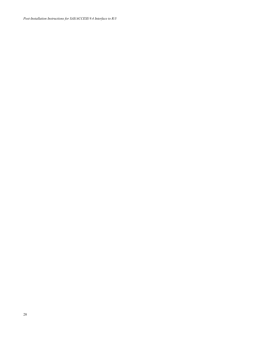*Post-Installation Instructions for SAS/ACCESS 9.4 Interface to R/3*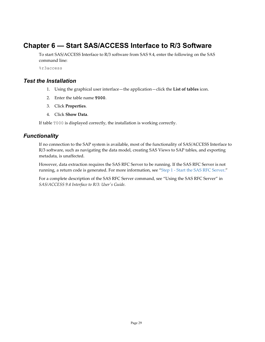# <span id="page-32-0"></span>**Chapter 6 — Start SAS/ACCESS Interface to R/3 Software**

To start SAS/ACCESS Interface to R/3 software from SAS 9.4, enter the following on the SAS command line:

%r3access

# <span id="page-32-1"></span>*Test the Installation*

- 1. Using the graphical user interface—the application—click the **List of tables** icon.
- 2. Enter the table name **T000**.
- 3. Click **Properties**.
- 4. Click **Show Data**.

If table T000 is displayed correctly, the installation is working correctly.

# <span id="page-32-2"></span>*Functionality*

If no connection to the SAP system is available, most of the functionality of SAS/ACCESS Interface to R/3 software, such as navigating the data model, creating SAS Views to SAP tables, and exporting metadata, is unaffected.

However, data extraction requires the SAS RFC Server to be running. If the SAS RFC Server is not running, a return code is generated. For more information, see "Step 1 - [Start the SAS RFC Server."](#page-20-0)

For a complete description of the SAS RFC Server command, see "Using the SAS RFC Server" in *SAS/ACCESS 9.4 Interface to R/3: User's Guide*.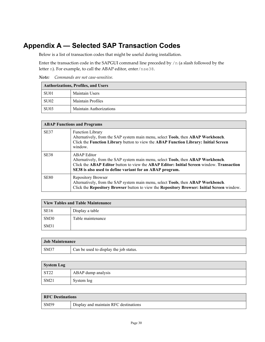# <span id="page-33-0"></span>**Appendix A — Selected SAP Transaction Codes**

Below is a list of transaction codes that might be useful during installation.

Enter the transaction code in the SAPGUI command line preceded by /n (a slash followed by the letter n). For example, to call the ABAP editor, enter/nse38.

*Note: Commands are not case-sensitive.*

| <b>Authorizations, Profiles, and Users</b> |                         |
|--------------------------------------------|-------------------------|
| SU <sub>01</sub>                           | Maintain Users          |
| SU <sub>02</sub>                           | Maintain Profiles       |
| SU <sub>03</sub>                           | Maintain Authorizations |

|             | <b>ABAP Functions and Programs</b>                                                                                                                                                                                                                             |
|-------------|----------------------------------------------------------------------------------------------------------------------------------------------------------------------------------------------------------------------------------------------------------------|
| <b>SE37</b> | <b>Function Library</b><br>Alternatively, from the SAP system main menu, select Tools, then ABAP Workbench.<br>Click the Function Library button to view the ABAP Function Library: Initial Screen<br>window.                                                  |
| <b>SE38</b> | <b>ABAP</b> Editor<br>Alternatively, from the SAP system main menu, select Tools, then ABAP Workbench.<br>Click the ABAP Editor button to view the ABAP Editor: Initial Screen window. Transaction<br>SE38 is also used to define variant for an ABAP program. |
| <b>SE80</b> | <b>Repository Browser</b><br>Alternatively, from the SAP system main menu, select Tools, then ABAP Workbench.<br>Click the Repository Browser button to view the Repository Browser: Initial Screen window.                                                    |

| <b>View Tables and Table Maintenance</b> |                   |
|------------------------------------------|-------------------|
| <b>SE16</b>                              | Display a table   |
| SM30                                     | Table maintenance |
| SM31                                     |                   |

| <b>Job Maintenance</b> |                                        |
|------------------------|----------------------------------------|
| SM37                   | Can be used to display the job status. |

| <b>System Log</b> |                    |
|-------------------|--------------------|
| ST22              | ABAP dump analysis |
| SM21              | System log         |

| <b>RFC Destinations</b> |                                       |
|-------------------------|---------------------------------------|
| <b>SM59</b>             | Display and maintain RFC destinations |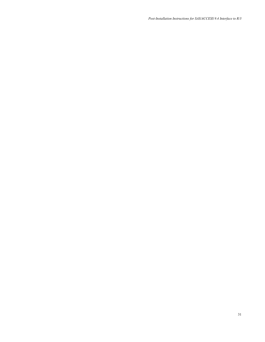*Post-Installation Instructions for SAS/ACCESS 9.4 Interface to R/3*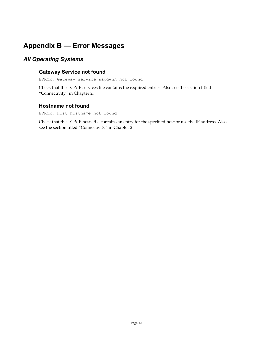# <span id="page-35-0"></span>**Appendix B — Error Messages**

# <span id="page-35-1"></span>*All Operating Systems*

## <span id="page-35-2"></span>**Gateway Service not found**

ERROR: Gateway service sapgwnn not found

Check that the TCP/IP services file contains the required entries. Also see the section titled ["Connectivity"](#page-10-1) in Chapter 2.

# <span id="page-35-3"></span>**Hostname not found**

ERROR: Host hostname not found

Check that the TCP/IP hosts file contains an entry for the specified host or use the IP address. Also see the section titled ["Connectivity"](#page-10-1) in Chapter 2.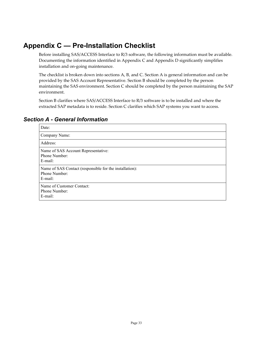# <span id="page-36-0"></span>**Appendix C — Pre-Installation Checklist**

Before installing SAS/ACCESS Interface to R/3 software, the following information must be available. Documenting the information identified in Appendix C and Appendix D significantly simplifies installation and on-going maintenance.

The checklist is broken down into sections A, B, and C. Section A is general information and can be provided by the SAS Account Representative. Section B should be completed by the person maintaining the SAS environment. Section C should be completed by the person maintaining the SAP environment.

Section B clarifies where SAS/ACCESS Interface to R/3 software is to be installed and where the extracted SAP metadata is to reside. Section C clarifies which SAP systems you want to access.

| Date:                                                                               |  |
|-------------------------------------------------------------------------------------|--|
| Company Name:                                                                       |  |
| Address:                                                                            |  |
| Name of SAS Account Representative:<br>Phone Number:<br>E-mail:                     |  |
| Name of SAS Contact (responsible for the installation):<br>Phone Number:<br>E-mail: |  |
| Name of Customer Contact:<br>Phone Number:<br>E-mail:                               |  |

# <span id="page-36-1"></span>*Section A - General Information*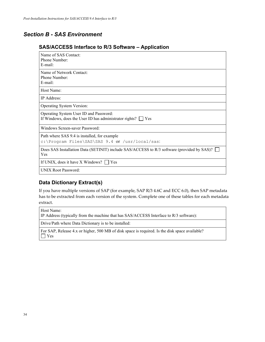# <span id="page-37-0"></span>*Section B - SAS Environment*

# <span id="page-37-1"></span>**SAS/ACCESS Interface to R/3 Software – Application**

| Name of SAS Contact:<br>Phone Number:<br>$E$ -mail:                                                         |
|-------------------------------------------------------------------------------------------------------------|
| Name of Network Contact:<br>Phone Number:<br>E-mail:                                                        |
| Host Name:                                                                                                  |
| <b>IP</b> Address:                                                                                          |
| Operating System Version:                                                                                   |
| Operating System User ID and Password:<br>If Windows, does the User ID has administrator rights? $\Box$ Yes |
| Windows Screen-saver Password:                                                                              |
| Path where SAS 9.4 is installed, for example<br>c:\Program Files\SAS\SAS 9.4 or /usr/local/sas:             |
| Does SAS Installation Data (SETINIT) include SAS/ACCESS to R/3 software (provided by SAS)?<br>Yes           |
| If UNIX, does it have X Windows? $\Box$ Yes                                                                 |
| <b>UNIX Root Password:</b>                                                                                  |

# <span id="page-37-2"></span>**Data Dictionary Extract(s)**

If you have multiple versions of SAP (for example, SAP R/3 4.6C and ECC 6.0), then SAP metadata has to be extracted from each version of the system. Complete one of these tables for each metadata extract.

| Host Name:<br>IP Address (typically from the machine that has SAS/ACCESS Interface to R/3 software):                           |
|--------------------------------------------------------------------------------------------------------------------------------|
| Drive/Path where Data Dictionary is to be installed:                                                                           |
| For SAP, Release 4.x or higher, 500 MB of disk space is required. Is the disk space available?<br>$\mathbf{  }$ $\mathbf{Yes}$ |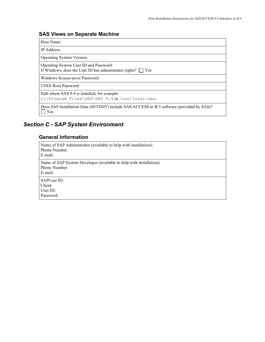# <span id="page-38-0"></span>**SAS Views on Separate Machine**

Host Name:

IP Address: Operating System Version:

Operating System User ID and Password:

If Windows, does the User ID has administrator rights?  $\Box$  Yes

Windows Screen-saver Password:

UNIX Root Password:

Path where SAS 9.4 is installed, for example

c:\Program Files\SAS\SAS 9.4 or /usr/local/sas:

Does SAS Installation Data (SETINIT) include SAS/ACCESS to R/3 software (provided by SAS)? Yes

# <span id="page-38-1"></span>*Section C - SAP System Environment*

### <span id="page-38-2"></span>**General Information**

| Name of SAP Administrator (available to help with installation):<br>Phone Number:<br>E-mail:    |
|-------------------------------------------------------------------------------------------------|
| Name of SAP System Developer (available to help with installation):<br>Phone Number:<br>E-mail: |
| SAPUser ID:<br>Client:<br>User ID:<br>Password:                                                 |
|                                                                                                 |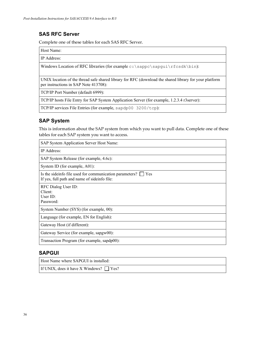# <span id="page-39-0"></span>**SAS RFC Server**

Complete one of these tables for each SAS RFC Server.

Host Name:

IP Address:

Windows Location of RFC libraries (for example c: \sappc\sapgui\rfcsdk\bin):

UNIX location of the thread safe shared library for RFC (download the shared library for your platform per instructions in SAP Note 413708):

TCP/IP Port Number (default 6999):

TCP/IP hosts File Entry for SAP System Application Server (for example, 1.2.3.4 r3server):

TCP/IP services File Entries (for example, sapdp00 3200/tcp):

# <span id="page-39-1"></span>**SAP System**

This is information about the SAP system from which you want to pull data. Complete one of these tables for each SAP system you want to access.

| SAP System Application Server Host Name:                                                                            |  |  |
|---------------------------------------------------------------------------------------------------------------------|--|--|
| <b>IP</b> Address:                                                                                                  |  |  |
| SAP System Release (for example, 4.6c):                                                                             |  |  |
| System ID (for example, A01):                                                                                       |  |  |
| Is the side info file used for communication parameters? $\Box$ Yes<br>If yes, full path and name of sideinfo file: |  |  |
| RFC Dialog User ID:<br>Client:<br>User $ID:$<br>Password:                                                           |  |  |
| System Number (SYS) (for example, 00):                                                                              |  |  |
| Language (for example, EN for English):                                                                             |  |  |
| Gateway Host (if different):                                                                                        |  |  |
| Gateway Service (for example, sapgw00):                                                                             |  |  |
| Transaction Program (for example, sapdp00):                                                                         |  |  |
|                                                                                                                     |  |  |

# <span id="page-39-2"></span>**SAPGUI**

<span id="page-39-3"></span>

| Host Name where SAPGUI is installed:         |  |
|----------------------------------------------|--|
| If UNIX, does it have X Windows? $\Box$ Yes? |  |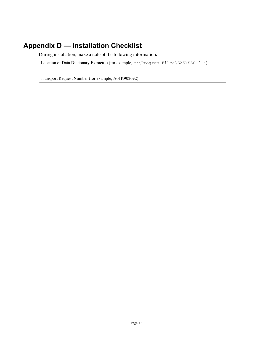# **Appendix D — Installation Checklist**

During installation, make a note of the following information.

Location of Data Dictionary Extract(s) (for example, c: \Program Files\SAS\SAS 9.4):

Transport Request Number (for example, A01K902092):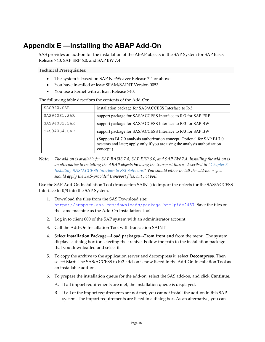# <span id="page-41-0"></span>**Appendix E —Installing the ABAP Add-On**

SAS provides an add-on for the installation of the ABAP objects in the SAP System for SAP Basis Release 740, SAP ERP 6.0, and SAP BW 7.4.

**Technical Prerequisites:**

- The system is based on SAP NetWeaver Release 7.4 or above.
- You have installed at least SPAM/SAINT Version 0053.
- You use a kernel with at least Release 740.

The following table describes the contents of the Add-On:

| SAS940.SAR   | installation package for SAS/ACCESS Interface to R/3                                                                                                               |
|--------------|--------------------------------------------------------------------------------------------------------------------------------------------------------------------|
| SAS940S1.SAR | support package for SAS/ACCESS Interface to R/3 for SAP ERP                                                                                                        |
| SAS940S2.SAR | support package for SAS/ACCESS Interface to R/3 for SAP BW                                                                                                         |
| SAS940S4.SAR | support package for SAS/ACCESS Interface to R/3 for SAP BW                                                                                                         |
|              | (Supports BI 7.0 analysis authorization concept. Optional for SAP BI 7.0<br>systems and later; apply only if you are using the analysis authorization<br>concept.) |

*Note: The add-on is available for SAP BASIS 7.4, SAP ERP 6.0, and SAP BW 7.4. Installing the add-on is*  an alternative to installing the ABAP objects by using the transport files as described in "Chapter 3  $-$ *[Installing SAS/ACCESS Interface to R/3 Software.](#page-12-0)" You should either install the add-on or you should apply the SAS-provided transport files, but not both.*

Use the SAP Add-On Installation Tool (transaction SAINT) to import the objects for the SAS/ACCESS Interface to R/3 into the SAP System.

- 1. Download the files from the SAS Download site: <https://support.sas.com/downloads/package.htm?pid=2457>. Save the files on the same machine as the Add-On Installation Tool.
- 2. Log in to client 000 of the SAP system with an administrator account.
- 3. Call the Add-On Installation Tool with transaction SAINT.
- 4. Select **Installation Package→Load packages→From front end** from the menu. The system displays a dialog box for selecting the archive. Follow the path to the installation package that you downloaded and select it.
- 5. To copy the archive to the application server and decompress it, select **Decompress**. Then select **Start**. The SAS/ACCESS to R/3 add-on is now listed in the Add-On Installation Tool as an installable add-on.
- 6. To prepare the installation queue for the add-on, select the SAS add-on, and click **Continue.**
	- A. If all import requirements are met, the installation queue is displayed.
	- B. If all of the import requirements are not met, you cannot install the add-on in this SAP system. The import requirements are listed in a dialog box. As an alternative, you can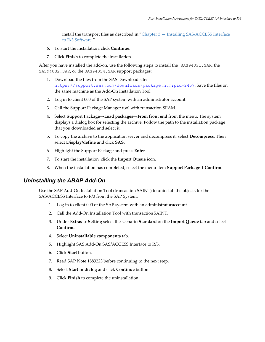install the transport files as described in "Chapter 3 — [Installing SAS/ACCESS Interface](#page-12-0)  [to R/3 Software.](#page-12-0)"

- 6. To start the installation, click **Continue**.
- 7. Click **Finish** to complete the installation.

After you have installed the add-on, use the following steps to install the SAS940S1.SAR, the SAS940S2.SAR, or the SAS940S4.SAR support packages:

- 1. Download the files from the SAS Download site: <https://support.sas.com/downloads/package.htm?pid=2457>. Save the files on the same machine as the Add-On Installation Tool.
- 2. Log in to client 000 of the SAP system with an administrator account.
- 3. Call the Support Package Manager tool with transaction SPAM.
- 4. Select **Support Package→Load packages→From front end** from the menu. The system displays a dialog box for selecting the archive. Follow the path to the installation package that you downloaded and select it.
- 5. To copy the archive to the application server and decompress it, select **Decompress**. Then select **Display/define** and click **SAS**.
- 6. Highlight the Support Package and press **Enter**.
- 7. To start the installation, click the **Import Queue** icon.
- 8. When the installation has completed, select the menu item **Support Package | Confirm**.

#### <span id="page-42-0"></span>*Uninstalling the ABAP Add-On*

Use the SAP Add-On Installation Tool (transaction SAINT) to uninstall the objects for the SAS/ACCESS Interface to R/3 from the SAP System.

- 1. Log in to client 000 of the SAP system with an administratoraccount.
- 2. Call the Add-On Installation Tool with transactionSAINT.
- 3. Under **Extras -> Setting** select the scenario **Standard** on the **Import Queue** tab and select **Confirm.**
- 4. Select **Uninstallable components** tab.
- 5. Highlight SAS Add-On SAS/ACCESS Interface to R/3.
- 6. Click **Start** button.
- 7. Read SAP Note 1883223 before continuing to the next step.
- 8. Select **Start in dialog** and click **Continue** button.
- 9. Click **Finish** to complete the uninstallation.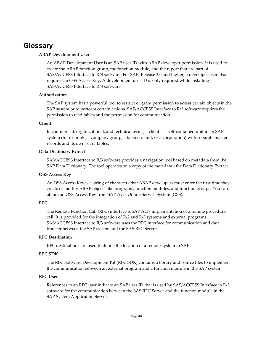# <span id="page-43-0"></span>**Glossary**

#### **ABAP Development User**

An ABAP Development User is an SAP user ID with ABAP developer permission. It is used to create the ABAP function group, the function module, and the report that are part of SAS/ACCESS Interface to R/3 software. For SAP, Release 3.0 and higher, a developer user also requires an OSS Access Key. A development user ID is only required while installing SAS/ACCESS Interface to R/3 software.

#### **Authorization**

The SAP system has a powerful tool to restrict or grant permission to access certain objects in the SAP system or to perform certain actions. SAS/ACCESS Interface to R/3 software requires the permission to read tables and the permission for communication.

#### **Client**

In commercial, organizational, and technical terms, a client is a self-contained unit in an SAP system (for example, a company group, a business unit, or a corporation) with separate master records and its own set of tables.

#### **Data Dictionary Extract**

SAS/ACCESS Interface to R/3 software provides a navigation tool based on metadata from the SAP Data Dictionary. The tool operates on a copy of the metadata - the Data Dictionary Extract.

#### **OSS Access Key**

An OSS Access Key is a string of characters that ABAP developers must enter the first time they create or modify ABAP objects like programs, function modules, and function groups. You can obtain an OSS Access Key from SAP AG's Online Service System (OSS).

#### **RFC**

The Remote Function Call (RFC) interface is SAP AG's implementation of a remote procedure call. It is provided for the integration of  $R/2$  and  $R/3$  systems and external programs. SAS/ACCESS Interface to R/3 software uses the RFC interface for communication and data transfer between the SAP system and the SAS RFC Server.

#### **RFC Destination**

RFC destinations are used to define the location of a remote system to SAP.

#### **RFC SDK**

The RFC Software Development Kit (RFC SDK) contains a library and source files to implement the communication between an external program and a function module in the SAP system.

#### **RFC User**

References to an RFC user indicate an SAP user ID that is used by SAS/ACCESS Interface to R/3 software for the communication between the SAS RFC Server and the function module in the SAP System Application Server.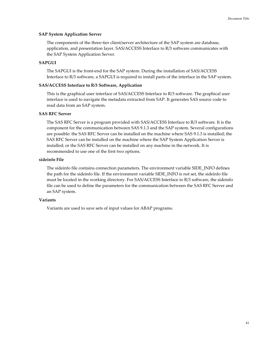#### **SAP System Application Server**

The components of the three-tier client/server architecture of the SAP system are database, application, and presentation layer. SAS/ACCESS Interface to R/3 software communicates with the SAP System Application Server.

#### **SAPGUI**

The SAPGUI is the front-end for the SAP system. During the installation of SAS/ACCESS Interface to R/3 software, a SAPGUI is required to install parts of the interface in the SAP system.

#### **SAS/ACCESS Interface to R/3 Software, Application**

This is the graphical user interface of SAS/ACCESS Interface to R/3 software. The graphical user interface is used to navigate the metadata extracted from SAP. It generates SAS source code to read data from an SAP system.

#### **SAS RFC Server**

The SAS RFC Server is a program provided with SAS/ACCESS Interface to R/3 software. It is the component for the communication between SAS 9.1.3 and the SAP system. Several configurations are possible: the SAS RFC Server can be installed on the machine where SAS 9.1.3 is installed; the SAS RFC Server can be installed on the machine where the SAP System Application Server is installed; or the SAS RFC Server can be installed on any machine in the network. It is recommended to use one of the first two options.

#### **sideinfo File**

The sideinfo file contains connection parameters. The environment variable SIDE\_INFO defines the path for the sideinfo file. If the environment variable SIDE\_INFO is not set, the sideinfo file must be located in the working directory. For SAS/ACCESS Interface to R/3 software, the sideinfo file can be used to define the parameters for the communication between the SAS RFC Server and an SAP system.

#### **Variants**

Variants are used to save sets of input values for ABAP programs.